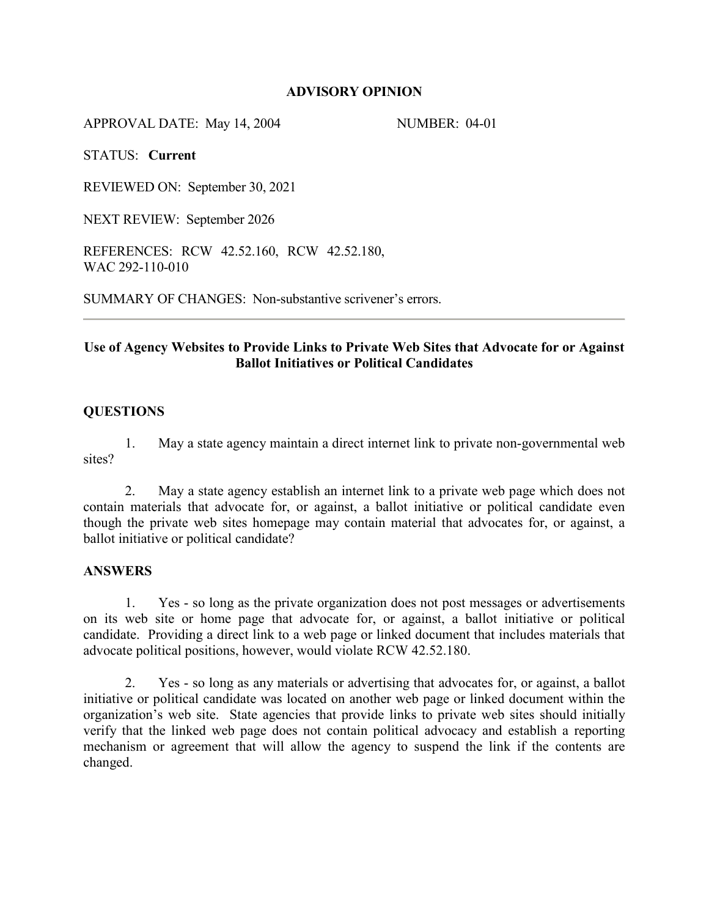## **ADVISORY OPINION**

APPROVAL DATE: May 14, 2004 NUMBER: 04-01

STATUS: **Current** 

REVIEWED ON: September 30, 2021

NEXT REVIEW: September 2026

REFERENCES: RCW 42.52.160, RCW 42.52.180, WAC 292-110-010

SUMMARY OF CHANGES: Non-substantive scrivener's errors.

# **Use of Agency Websites to Provide Links to Private Web Sites that Advocate for or Against Ballot Initiatives or Political Candidates**

## **QUESTIONS**

1. May a state agency maintain a direct internet link to private non-governmental web sites?

2. May a state agency establish an internet link to a private web page which does not contain materials that advocate for, or against, a ballot initiative or political candidate even though the private web sites homepage may contain material that advocates for, or against, a ballot initiative or political candidate?

#### **ANSWERS**

1. Yes - so long as the private organization does not post messages or advertisements on its web site or home page that advocate for, or against, a ballot initiative or political candidate. Providing a direct link to a web page or linked document that includes materials that advocate political positions, however, would violate RCW 42.52.180.

2. Yes - so long as any materials or advertising that advocates for, or against, a ballot initiative or political candidate was located on another web page or linked document within the organization's web site. State agencies that provide links to private web sites should initially verify that the linked web page does not contain political advocacy and establish a reporting mechanism or agreement that will allow the agency to suspend the link if the contents are changed.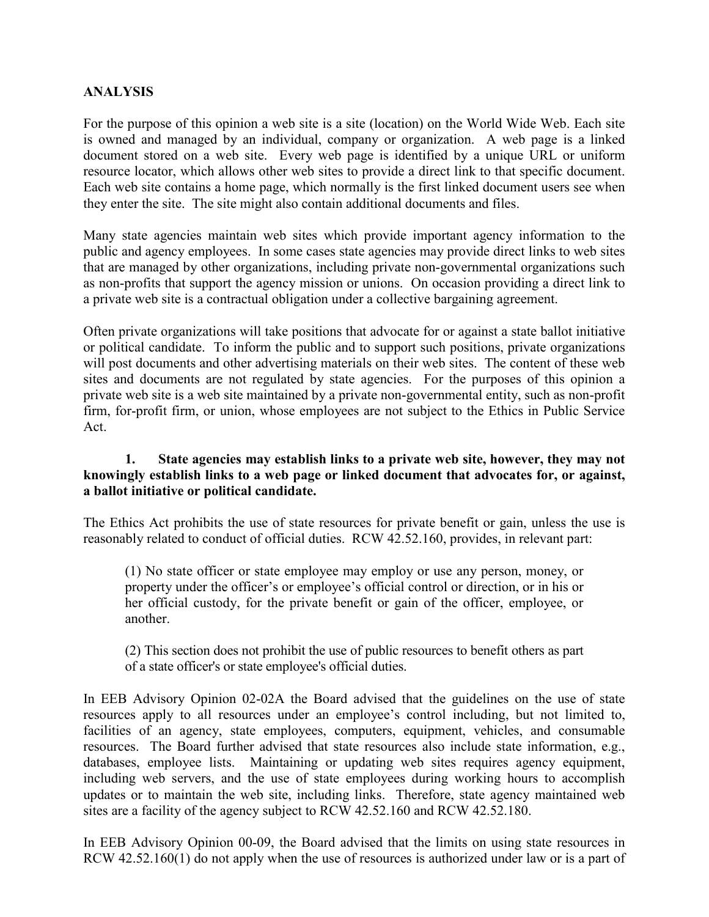# **ANALYSIS**

For the purpose of this opinion a web site is a site (location) on the World Wide Web. Each site is owned and managed by an individual, company or organization. A web page is a linked document stored on a web site. Every web page is identified by a unique URL or uniform resource locator, which allows other web sites to provide a direct link to that specific document. Each web site contains a home page, which normally is the first linked document users see when they enter the site. The site might also contain additional documents and files.

Many state agencies maintain web sites which provide important agency information to the public and agency employees. In some cases state agencies may provide direct links to web sites that are managed by other organizations, including private non-governmental organizations such as non-profits that support the agency mission or unions. On occasion providing a direct link to a private web site is a contractual obligation under a collective bargaining agreement.

Often private organizations will take positions that advocate for or against a state ballot initiative or political candidate. To inform the public and to support such positions, private organizations will post documents and other advertising materials on their web sites. The content of these web sites and documents are not regulated by state agencies. For the purposes of this opinion a private web site is a web site maintained by a private non-governmental entity, such as non-profit firm, for-profit firm, or union, whose employees are not subject to the Ethics in Public Service Act.

## **1. State agencies may establish links to a private web site, however, they may not knowingly establish links to a web page or linked document that advocates for, or against, a ballot initiative or political candidate.**

The Ethics Act prohibits the use of state resources for private benefit or gain, unless the use is reasonably related to conduct of official duties. RCW 42.52.160, provides, in relevant part:

(1) No state officer or state employee may employ or use any person, money, or property under the officer's or employee's official control or direction, or in his or her official custody, for the private benefit or gain of the officer, employee, or another.

(2) This section does not prohibit the use of public resources to benefit others as part of a state officer's or state employee's official duties.

In EEB Advisory Opinion 02-02A the Board advised that the guidelines on the use of state resources apply to all resources under an employee's control including, but not limited to, facilities of an agency, state employees, computers, equipment, vehicles, and consumable resources. The Board further advised that state resources also include state information, e.g., databases, employee lists. Maintaining or updating web sites requires agency equipment, including web servers, and the use of state employees during working hours to accomplish updates or to maintain the web site, including links. Therefore, state agency maintained web sites are a facility of the agency subject to RCW 42.52.160 and RCW 42.52.180.

In EEB Advisory Opinion 00-09, the Board advised that the limits on using state resources in RCW 42.52.160(1) do not apply when the use of resources is authorized under law or is a part of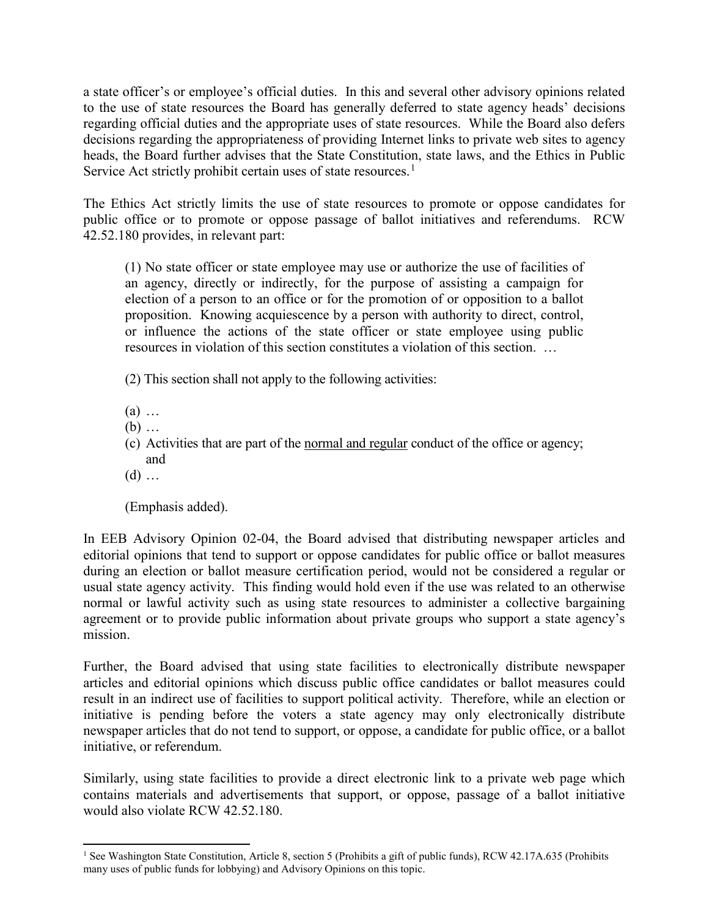a state officer's or employee's official duties. In this and several other advisory opinions related to the use of state resources the Board has generally deferred to state agency heads' decisions regarding official duties and the appropriate uses of state resources. While the Board also defers decisions regarding the appropriateness of providing Internet links to private web sites to agency heads, the Board further advises that the State Constitution, state laws, and the Ethics in Public Service Act strictly prohibit certain uses of state resources.<sup>[1](#page-2-0)</sup>

The Ethics Act strictly limits the use of state resources to promote or oppose candidates for public office or to promote or oppose passage of ballot initiatives and referendums. RCW 42.52.180 provides, in relevant part:

(1) No state officer or state employee may use or authorize the use of facilities of an agency, directly or indirectly, for the purpose of assisting a campaign for election of a person to an office or for the promotion of or opposition to a ballot proposition. Knowing acquiescence by a person with authority to direct, control, or influence the actions of the state officer or state employee using public resources in violation of this section constitutes a violation of this section. …

- (2) This section shall not apply to the following activities:
- (a) …
- (b) …
- (c) Activities that are part of the normal and regular conduct of the office or agency; and
- $(d)$  ...

(Emphasis added).

In EEB Advisory Opinion 02-04, the Board advised that distributing newspaper articles and editorial opinions that tend to support or oppose candidates for public office or ballot measures during an election or ballot measure certification period, would not be considered a regular or usual state agency activity. This finding would hold even if the use was related to an otherwise normal or lawful activity such as using state resources to administer a collective bargaining agreement or to provide public information about private groups who support a state agency's mission.

Further, the Board advised that using state facilities to electronically distribute newspaper articles and editorial opinions which discuss public office candidates or ballot measures could result in an indirect use of facilities to support political activity. Therefore, while an election or initiative is pending before the voters a state agency may only electronically distribute newspaper articles that do not tend to support, or oppose, a candidate for public office, or a ballot initiative, or referendum.

Similarly, using state facilities to provide a direct electronic link to a private web page which contains materials and advertisements that support, or oppose, passage of a ballot initiative would also violate RCW 42.52.180.

<span id="page-2-0"></span> $\ddot{\phantom{a}}$ <sup>1</sup> See Washington State Constitution, Article 8, section 5 (Prohibits a gift of public funds), RCW 42.17A.635 (Prohibits many uses of public funds for lobbying) and Advisory Opinions on this topic.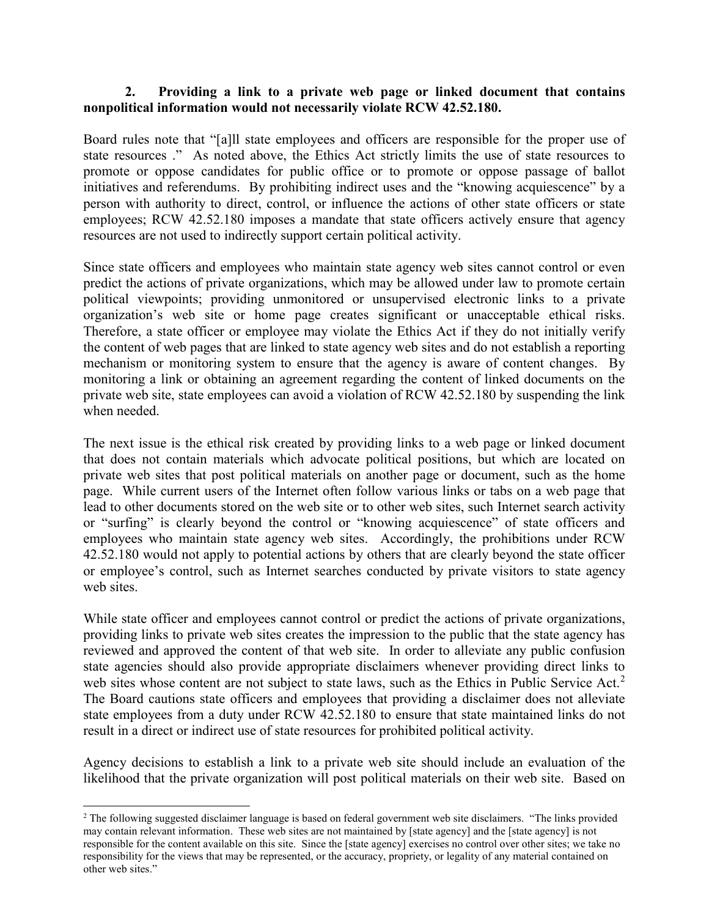## **2. Providing a link to a private web page or linked document that contains nonpolitical information would not necessarily violate RCW 42.52.180.**

Board rules note that "[a]ll state employees and officers are responsible for the proper use of state resources ." As noted above, the Ethics Act strictly limits the use of state resources to promote or oppose candidates for public office or to promote or oppose passage of ballot initiatives and referendums. By prohibiting indirect uses and the "knowing acquiescence" by a person with authority to direct, control, or influence the actions of other state officers or state employees; RCW 42.52.180 imposes a mandate that state officers actively ensure that agency resources are not used to indirectly support certain political activity.

Since state officers and employees who maintain state agency web sites cannot control or even predict the actions of private organizations, which may be allowed under law to promote certain political viewpoints; providing unmonitored or unsupervised electronic links to a private organization's web site or home page creates significant or unacceptable ethical risks. Therefore, a state officer or employee may violate the Ethics Act if they do not initially verify the content of web pages that are linked to state agency web sites and do not establish a reporting mechanism or monitoring system to ensure that the agency is aware of content changes. By monitoring a link or obtaining an agreement regarding the content of linked documents on the private web site, state employees can avoid a violation of RCW 42.52.180 by suspending the link when needed.

The next issue is the ethical risk created by providing links to a web page or linked document that does not contain materials which advocate political positions, but which are located on private web sites that post political materials on another page or document, such as the home page. While current users of the Internet often follow various links or tabs on a web page that lead to other documents stored on the web site or to other web sites, such Internet search activity or "surfing" is clearly beyond the control or "knowing acquiescence" of state officers and employees who maintain state agency web sites. Accordingly, the prohibitions under RCW 42.52.180 would not apply to potential actions by others that are clearly beyond the state officer or employee's control, such as Internet searches conducted by private visitors to state agency web sites.

While state officer and employees cannot control or predict the actions of private organizations, providing links to private web sites creates the impression to the public that the state agency has reviewed and approved the content of that web site. In order to alleviate any public confusion state agencies should also provide appropriate disclaimers whenever providing direct links to web sites whose content are not subject to state laws, such as the Ethics in Public Service Act.<sup>[2](#page-3-0)</sup> The Board cautions state officers and employees that providing a disclaimer does not alleviate state employees from a duty under RCW 42.52.180 to ensure that state maintained links do not result in a direct or indirect use of state resources for prohibited political activity.

Agency decisions to establish a link to a private web site should include an evaluation of the likelihood that the private organization will post political materials on their web site. Based on

 $\overline{a}$ 

<span id="page-3-0"></span><sup>&</sup>lt;sup>2</sup> The following suggested disclaimer language is based on federal government web site disclaimers. "The links provided may contain relevant information. These web sites are not maintained by [state agency] and the [state agency] is not responsible for the content available on this site. Since the [state agency] exercises no control over other sites; we take no responsibility for the views that may be represented, or the accuracy, propriety, or legality of any material contained on other web sites."